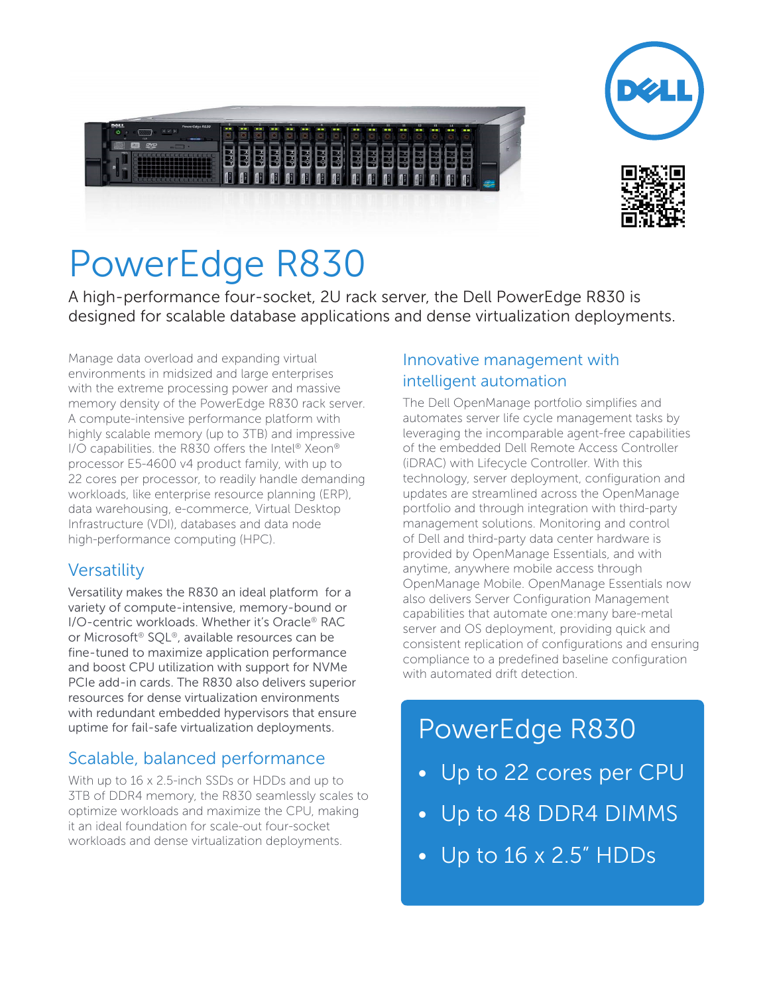





# PowerEdge R830

A high-performance four-socket, 2U rack server, the Dell PowerEdge R830 is designed for scalable database applications and dense virtualization deployments.

Manage data overload and expanding virtual environments in midsized and large enterprises with the extreme processing power and massive memory density of the PowerEdge R830 rack server. A compute-intensive performance platform with highly scalable memory (up to 3TB) and impressive I/O capabilities. the R830 offers the Intel® Xeon® processor E5-4600 v4 product family, with up to 22 cores per processor, to readily handle demanding workloads, like enterprise resource planning (ERP), data warehousing, e-commerce, Virtual Desktop Infrastructure (VDI), databases and data node high-performance computing (HPC).

#### **Versatility**

Versatility makes the R830 an ideal platform for a variety of compute-intensive, memory-bound or I/O-centric workloads. Whether it's Oracle® RAC or Microsoft® SQL®, available resources can be fine-tuned to maximize application performance and boost CPU utilization with support for NVMe PCIe add-in cards. The R830 also delivers superior resources for dense virtualization environments with redundant embedded hypervisors that ensure uptime for fail-safe virtualization deployments.

### Scalable, balanced performance

With up to 16 x 2.5-inch SSDs or HDDs and up to 3TB of DDR4 memory, the R830 seamlessly scales to optimize workloads and maximize the CPU, making it an ideal foundation for scale-out four-socket workloads and dense virtualization deployments.

#### Innovative management with intelligent automation

The Dell OpenManage portfolio simplifies and automates server life cycle management tasks by leveraging the incomparable agent-free capabilities of the embedded Dell Remote Access Controller (iDRAC) with Lifecycle Controller. With this technology, server deployment, configuration and updates are streamlined across the OpenManage portfolio and through integration with third-party management solutions. Monitoring and control of Dell and third-party data center hardware is provided by OpenManage Essentials, and with anytime, anywhere mobile access through OpenManage Mobile. OpenManage Essentials now also delivers Server Configuration Management capabilities that automate one:many bare-metal server and OS deployment, providing quick and consistent replication of configurations and ensuring compliance to a predefined baseline configuration with automated drift detection.

## PowerEdge R830

- Up to 22 cores per CPU
- Up to 48 DDR4 DIMMS
- Up to 16 x 2.5" HDDs